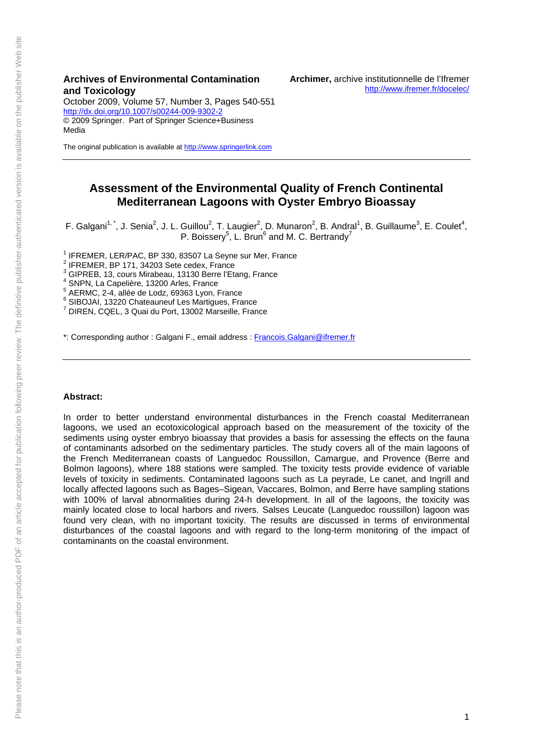October 2009, Volume 57, Number 3, Pages 540-551 <http://dx.doi.org/10.1007/s00244-009-9302-2> © 2009 Springer. Part of Springer Science+Business Media

The original publication is available at [http://www.springerlink.com](http://www.springerlink.com/)

# **Assessment of the Environmental Quality of French Continental Mediterranean Lagoons with Oyster Embryo Bioassay**

F. Galgani<sup>1, \*</sup>, J. Senia<sup>2</sup>, J. L. Guillou<sup>2</sup>, T. Laugier<sup>2</sup>, D. Munaron<sup>2</sup>, B. Andral<sup>1</sup>, B. Guillaume<sup>3</sup>, E. Coulet<sup>4</sup>, P. Boissery<sup>5</sup>, L. Brun<sup>6</sup> and M. C. Bertrandy<sup>7</sup>

<sup>1</sup> IFREMER, LER/PAC, BP 330, 83507 La Seyne sur Mer, France

 $2$  IFREMER, BP 171, 34203 Sete cedex, France

3 GIPREB, 13, cours Mirabeau, 13130 Berre l'Etang, France

4 SNPN, La Capelière, 13200 Arles, France

5 AERMC, 2-4, allée de Lodz, 69363 Lyon, France

<sup>6</sup> SIBOJAI, 13220 Chateauneuf Les Martigues, France<br>7 DIPEN, COEL 3 Quai du Pert, 13003 Marceille, Fran

DIREN, CQEL, 3 Quai du Port, 13002 Marseille, France

\*: Corresponding author : Galgani F., email address : [Francois.Galgani@ifremer.fr](mailto:Francois.Galgani@ifremer.fr)

## **Abstract:**

In order to better understand environmental disturbances in the French coastal Mediterranean lagoons, we used an ecotoxicological approach based on the measurement of the toxicity of the sediments using oyster embryo bioassay that provides a basis for assessing the effects on the fauna of contaminants adsorbed on the sedimentary particles. The study covers all of the main lagoons of the French Mediterranean coasts of Languedoc Roussillon, Camargue, and Provence (Berre and Bolmon lagoons), where 188 stations were sampled. The toxicity tests provide evidence of variable levels of toxicity in sediments. Contaminated lagoons such as La peyrade, Le canet, and Ingrill and locally affected lagoons such as Bages–Sigean, Vaccares, Bolmon, and Berre have sampling stations with 100% of larval abnormalities during 24-h development. In all of the lagoons, the toxicity was mainly located close to local harbors and rivers. Salses Leucate (Languedoc roussillon) lagoon was found very clean, with no important toxicity. The results are discussed in terms of environmental disturbances of the coastal lagoons and with regard to the long-term monitoring of the impact of contaminants on the coastal environment.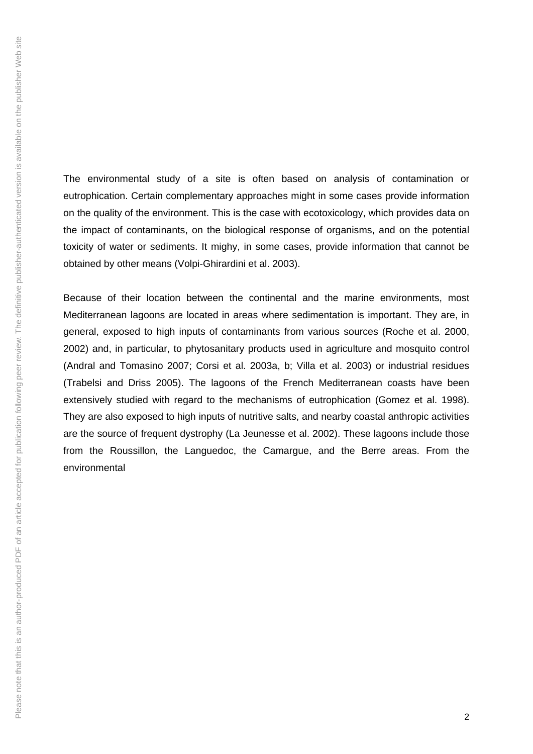The environmental study of a site is often based on analysis of contamination or eutrophication. Certain complementary approaches might in some cases provide information on the quality of the environment. This is the case with ecotoxicology, which provides data on the impact of contaminants, on the biological response of organisms, and on the potential toxicity of water or sediments. It mighy, in some cases, provide information that cannot be obtained by other means (Volpi-Ghirardini et al. 2003).

Because of their location between the continental and the marine environments, most Mediterranean lagoons are located in areas where sedimentation is important. They are, in general, exposed to high inputs of contaminants from various sources (Roche et al. 2000, 2002) and, in particular, to phytosanitary products used in agriculture and mosquito control (Andral and Tomasino 2007; Corsi et al. 2003a, b; Villa et al. 2003) or industrial residues (Trabelsi and Driss 2005). The lagoons of the French Mediterranean coasts have been extensively studied with regard to the mechanisms of eutrophication (Gomez et al. 1998). They are also exposed to high inputs of nutritive salts, and nearby coastal anthropic activities are the source of frequent dystrophy (La Jeunesse et al. 2002). These lagoons include those from the Roussillon, the Languedoc, the Camargue, and the Berre areas. From the environmental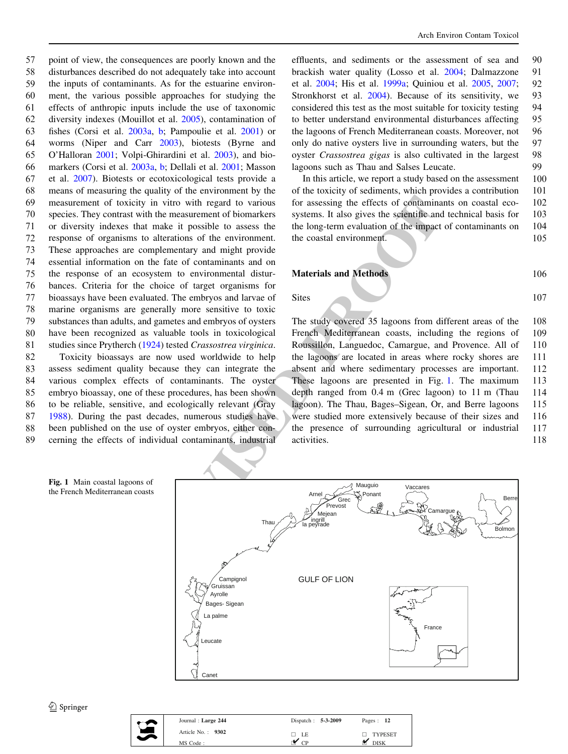$\frac{V}{V}$  in vitro with regard to various for assessing the effects of contaminated the measurement of biomarkers systems. It also gives the seignatifie and the impact of beinarchieses systems. It also gives the seignatio point of view, the consequences are poorly known and the disturbances described do not adequately take into account the inputs of contaminants. As for the estuarine environ- ment, the various possible approaches for studying the effects of anthropic inputs include the use of taxonomic diversity indexes (Mouillot et al. [2005](#page-11-0)), contamination of fishes (Corsi et al. [2003a](#page-11-0), [b](#page-11-0); Pampoulie et al. [2001\)](#page-11-0) or worms (Niper and Carr [2003](#page-11-0)), biotests (Byrne and O'Halloran [2001;](#page-11-0) Volpi-Ghirardini et al. [2003\)](#page-12-0), and bio- markers (Corsi et al. [2003a](#page-11-0), [b;](#page-11-0) Dellali et al. [2001](#page-11-0); Masson et al. [2007\)](#page-11-0). Biotests or ecotoxicological tests provide a means of measuring the quality of the environment by the measurement of toxicity in vitro with regard to various species. They contrast with the measurement of biomarkers or diversity indexes that make it possible to assess the response of organisms to alterations of the environment. These approaches are complementary and might provide essential information on the fate of contaminants and on the response of an ecosystem to environmental distur- bances. Criteria for the choice of target organisms for bioassays have been evaluated. The embryos and larvae of marine organisms are generally more sensitive to toxic substances than adults, and gametes and embryos of oysters have been recognized as valuable tools in toxicological 81 studies since Prytherch ([1924\)](#page-11-0) tested Crassostrea virginica. Toxicity bioassays are now used worldwide to help assess sediment quality because they can integrate the various complex effects of contaminants. The oyster embryo bioassay, one of these procedures, has been shown to be reliable, sensitive, and ecologically relevant (Gray [1988\)](#page-11-0). During the past decades, numerous studies have been published on the use of oyster embryos, either con-cerning the effects of individual contaminants, industrial

effluents, and sediments or the assessment of sea and 90 brackish water quality (Losso et al. [2004](#page-11-0); Dalmazzone 91 et al. [2004](#page-11-0); His et al. [1999a;](#page-11-0) Quiniou et al. [2005,](#page-11-0) [2007](#page-11-0); 92 Stronkhorst et al. [2004\)](#page-12-0). Because of its sensitivity, we 93 considered this test as the most suitable for toxicity testing 94 to better understand environmental disturbances affecting 95 the lagoons of French Mediterranean coasts. Moreover, not 96 only do native oysters live in surrounding waters, but the 97 oyster Crassostrea gigas is also cultivated in the largest 98 lagoons such as Thau and Salses Leucate. 99

In this article, we report a study based on the assessment 100 of the toxicity of sediments, which provides a contribution 101 for assessing the effects of contaminants on coastal eco- 102 systems. It also gives the scientific and technical basis for 103 the long-term evaluation of the impact of contaminants on 104 the coastal environment. 105

Materials and Methods 106

Sites 107

The study covered 35 lagoons from different areas of the 108 French Mediterranean coasts, including the regions of 109 Roussillon, Languedoc, Camargue, and Provence. All of 110 the lagoons are located in areas where rocky shores are 111 absent and where sedimentary processes are important. 112 These lagoons are presented in Fig. 1. The maximum 113 depth ranged from 0.4 m (Grec lagoon) to 11 m (Thau 114 lagoon). The Thau, Bages–Sigean, Or, and Berre lagoons 115 were studied more extensively because of their sizes and 116 the presence of surrounding agricultural or industrial 117 activities. 118





| Journal: Large 244  | Dispatch: 5-3-2009 | Pages: 12      |
|---------------------|--------------------|----------------|
| Article No.: $9302$ | □ LE               | $\Box$ TYPESET |
| MS Code:            |                    | <b>DISK</b>    |
|                     |                    |                |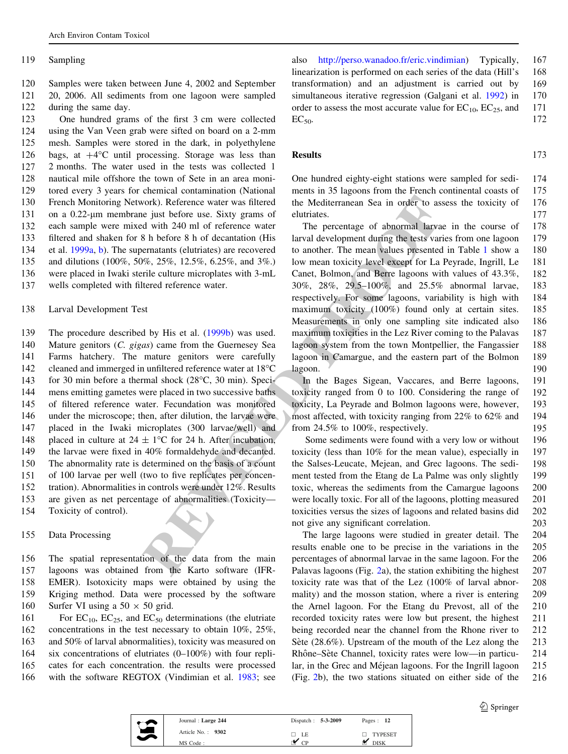#### 119 Sampling

120 Samples were taken between June 4, 2002 and September 121 20, 2006. All sediments from one lagoon were sampled 122 during the same day.

 One hundred grams of the first 3 cm were collected using the Van Veen grab were sifted on board on a 2-mm mesh. Samples were stored in the dark, in polyethylene 126 bags, at  $+4^{\circ}$ C until processing. Storage was less than 2 months. The water used in the tests was collected 1 nautical mile offshore the town of Sete in an area moni- tored every 3 years for chemical contamination (National French Monitoring Network). Reference water was filtered on a 0.22-*l*m membrane just before use. Sixty grams of each sample were mixed with 240 ml of reference water filtered and shaken for 8 h before 8 h of decantation (His et al. [1999a](#page-11-0), [b](#page-11-0)). The supernatants (elutriates) are recovered and dilutions (100%, 50%, 25%, 12.5%, 6.25%, and 3%.) were placed in Iwaki sterile culture microplates with 3-mL wells completed with filtered reference water.

138 Larval Development Test

vork). Reference water was filtered<br>
in the Mediterranean Sea in order to as<br>
ity is the process. Sinty grams of clutrinates.<br>
ity was divided by the precentage of abnormal larva<br>
id with 240 ml of reference water<br>
The pe The procedure described by His et al. ([1999b\)](#page-11-0) was used. Mature genitors (C. gigas) came from the Guernesey Sea Farms hatchery. The mature genitors were carefully 142 cleaned and immerged in unfiltered reference water at 18°C 143 for 30 min before a thermal shock (28°C, 30 min). Speci- mens emitting gametes were placed in two successive baths of filtered reference water. Fecundation was monitored under the microscope; then, after dilution, the larvae were placed in the Iwaki microplates (300 larvae/well) and 148 placed in culture at  $24 \pm 1$ °C for 24 h. After incubation, the larvae were fixed in 40% formaldehyde and decanted. The abnormality rate is determined on the basis of a count of 100 larvae per well (two to five replicates per concen- tration). Abnormalities in controls were under 12%. Results are given as net percentage of abnormalities (Toxicity—

- 154 Toxicity of control).
- 155 Data Processing

 The spatial representation of the data from the main lagoons was obtained from the Karto software (IFR- EMER). Isotoxicity maps were obtained by using the Kriging method. Data were processed by the software 160 Surfer VI using a  $50 \times 50$  grid.

161 For  $EC_{10}$ ,  $EC_{25}$ , and  $EC_{50}$  determinations (the elutriate concentrations in the test necessary to obtain 10%, 25%, and 50% of larval abnormalities), toxicity was measured on six concentrations of elutriates (0–100%) with four repli- cates for each concentration. the results were processed with the software REGTOX (Vindimian et al. [1983](#page-12-0); see also <http://perso.wanadoo.fr/eric.vindimian>) Typically, 167 linearization is performed on each series of the data (Hill's 168 transformation) and an adjustment is carried out by 169 simultaneous iterative regression (Galgani et al. [1992](#page-11-0)) in 170 order to assess the most accurate value for  $EC_{10}$ ,  $EC_{25}$ , and 171  $EC_{50}$ . 172

### Results 173

One hundred eighty-eight stations were sampled for sedi- 174 ments in 35 lagoons from the French continental coasts of 175 the Mediterranean Sea in order to assess the toxicity of 176 elutriates. 177

The percentage of abnormal larvae in the course of 178 larval development during the tests varies from one lagoon 179 to another. The mean values presented in Table [1](#page-4-0) show a 180 low mean toxicity level except for La Peyrade, Ingrill, Le 181 Canet, Bolmon, and Berre lagoons with values of 43.3%, 182 30%, 28%, 29.5–100%, and 25.5% abnormal larvae, 183 respectively. For some lagoons, variability is high with 184 maximum toxicity (100%) found only at certain sites. 185 Measurements in only one sampling site indicated also 186 maximum toxicities in the Lez River coming to the Palavas 187 lagoon system from the town Montpellier, the Fangassier 188 lagoon in Camargue, and the eastern part of the Bolmon 189 lagoon. 190

In the Bages Sigean, Vaccares, and Berre lagoons, 191 toxicity ranged from 0 to 100. Considering the range of 192 toxicity, La Peyrade and Bolmon lagoons were, however, 193 most affected, with toxicity ranging from 22% to 62% and 194 from  $24.5\%$  to  $100\%$ , respectively. 195

Some sediments were found with a very low or without 196 toxicity (less than 10% for the mean value), especially in 197 the Salses-Leucate, Mejean, and Grec lagoons. The sedi- 198 ment tested from the Etang de La Palme was only slightly 199 toxic, whereas the sediments from the Camargue lagoons 200 were locally toxic. For all of the lagoons, plotting measured 201 toxicities versus the sizes of lagoons and related basins did 202 not give any significant correlation. 203

The large lagoons were studied in greater detail. The 204 results enable one to be precise in the variations in the 205 percentages of abnormal larvae in the same lagoon. For the 206 Palavas lagoons (Fig. [2](#page-5-0)a), the station exhibiting the highest 207 toxicity rate was that of the Lez (100% of larval abnor- 208 mality) and the mosson station, where a river is entering 209 the Arnel lagoon. For the Etang du Prevost, all of the 210 recorded toxicity rates were low but present, the highest 211 being recorded near the channel from the Rhone river to 212 Sète  $(28.6\%)$ . Upstream of the mouth of the Lez along the 213 Rhône–Sète Channel, toxicity rates were low—in particu-<br>214 lar, in the Grec and Méjean lagoons. For the Ingrill lagoon 215 (Fig. [2b](#page-5-0)), the two stations situated on either side of the 216



| Journal: Large 244 | Dispatch: 5-3-2009 | Pages: 12   |
|--------------------|--------------------|-------------|
| Article No.: 9302  | $\Box$ LE          | TYPESET     |
| MS Code:           |                    | <b>DISK</b> |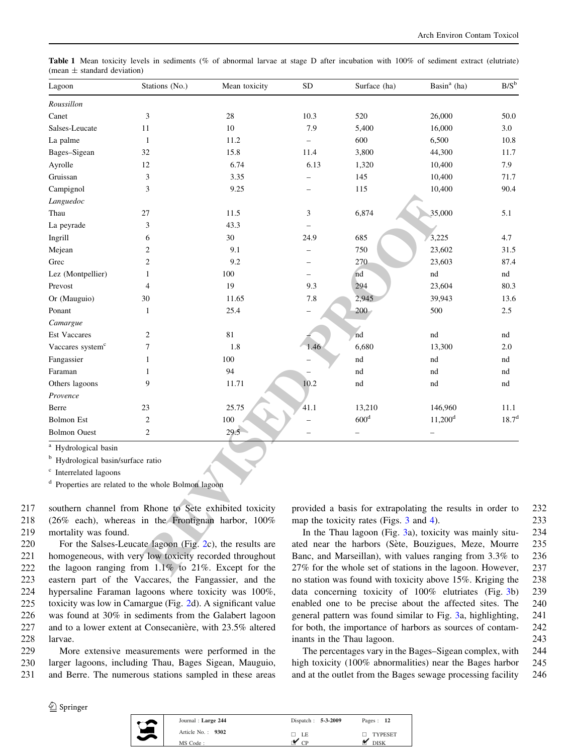<span id="page-4-0"></span>

|                                 |  |  |  |  |  |  | <b>Table 1</b> Mean toxicity levels in sediments (% of abnormal larvae at stage D after incubation with 100% of sediment extract (elutriate) |  |  |  |
|---------------------------------|--|--|--|--|--|--|----------------------------------------------------------------------------------------------------------------------------------------------|--|--|--|
| (mean $\pm$ standard deviation) |  |  |  |  |  |  |                                                                                                                                              |  |  |  |

| Lagoon                                        | Stations (No.)                                                 | Mean toxicity | <b>SD</b>                | Surface (ha)                                               | Basin $a$ (ha)        | $B/S^b$    |
|-----------------------------------------------|----------------------------------------------------------------|---------------|--------------------------|------------------------------------------------------------|-----------------------|------------|
| Roussillon                                    |                                                                |               |                          |                                                            |                       |            |
| Canet                                         | 3                                                              | 28            | 10.3                     | 520                                                        | 26,000                | 50.0       |
| Salses-Leucate                                | 11                                                             | 10            | 7.9                      | 5,400                                                      | 16,000                | 3.0        |
| La palme                                      | $\mathbf{1}$                                                   | 11.2          | $\equiv$                 | 600                                                        | 6,500                 | 10.8       |
| Bages-Sigean                                  | 32                                                             | 15.8          | 11.4                     | 3,800                                                      | 44,300                | 11.7       |
| Ayrolle                                       | 12                                                             | 6.74          | 6.13                     | 1,320                                                      | 10,400                | 7.9        |
| Gruissan                                      | 3                                                              | 3.35          |                          | 145                                                        | 10,400                | 71.7       |
| Campignol                                     | 3                                                              | 9.25          |                          | 115                                                        | 10,400                | 90.4       |
| Languedoc                                     |                                                                |               |                          |                                                            |                       |            |
| Thau                                          | 27                                                             | 11.5          | 3                        | 6,874                                                      | 35,000                | 5.1        |
| La peyrade                                    | 3                                                              | 43.3          |                          |                                                            |                       |            |
| Ingrill                                       | 6                                                              | 30            | 24.9                     | 685                                                        | 3,225                 | 4.7        |
| Mejean                                        | $\overline{c}$                                                 | 9.1           | $\overline{\phantom{0}}$ | 750                                                        | 23,602                | 31.5       |
| Grec                                          | $\overline{c}$                                                 | 9.2           |                          | 270                                                        | 23,603                | 87.4       |
| Lez (Montpellier)                             | 1                                                              | 100           |                          | nd                                                         | nd                    | nd         |
| Prevost                                       | $\overline{4}$                                                 | 19            | 9.3                      | 294                                                        | 23,604                | 80.3       |
| Or (Mauguio)                                  | 30                                                             | 11.65         | 7.8                      | 2,945                                                      | 39,943                | 13.6       |
| Ponant                                        | $\mathbf{1}$                                                   | 25.4          |                          | 200                                                        | 500                   | 2.5        |
| Camargue                                      |                                                                |               |                          |                                                            |                       |            |
| <b>Est Vaccares</b>                           | 2                                                              | 81            |                          | nd                                                         | nd                    | nd         |
| Vaccares system <sup>c</sup>                  | 7                                                              | 1.8           | 1.46                     | 6,680                                                      | 13,300                | 2.0        |
| Fangassier                                    | $\mathbf{1}$                                                   | 100           |                          | nd                                                         | nd                    | nd         |
| Faraman                                       | $\mathbf{1}$                                                   | 94            |                          | nd                                                         | nd                    | nd         |
| Others lagoons                                | 9                                                              | 11.71         | 10.2                     | nd                                                         | nd                    | nd         |
| Provence                                      |                                                                |               |                          |                                                            |                       |            |
| Berre                                         | 23                                                             | 25.75         | 41.1                     | 13,210                                                     | 146,960               | 11.1       |
| <b>Bolmon Est</b>                             | $\overline{c}$                                                 | 100           |                          | 600 <sup>d</sup>                                           | $11,200$ <sup>d</sup> | $18.7^{d}$ |
| <b>Bolmon Ouest</b>                           | $\sqrt{2}$                                                     | 29.5          |                          |                                                            |                       |            |
| <sup>a</sup> Hydrological basin               |                                                                |               |                          |                                                            |                       |            |
| <sup>b</sup> Hydrological basin/surface ratio |                                                                |               |                          |                                                            |                       |            |
| <sup>c</sup> Interrelated lagoons             |                                                                |               |                          |                                                            |                       |            |
|                                               | <sup>d</sup> Properties are related to the whole Bolmon lagoon |               |                          |                                                            |                       |            |
|                                               |                                                                |               |                          |                                                            |                       |            |
|                                               | southern channel from Rhone to Sete exhibited toxicity         |               |                          | provided a basis for extrapolating the results in order to |                       |            |
|                                               | (26% each), whereas in the Frontignan harbor, 100%             |               |                          | map the toxicity rates (Figs. 3 and 4).                    |                       |            |
| mortality was found.                          |                                                                |               |                          | In the Thau lagoon (Fig. 3a), toxicity was mainly situ-    |                       |            |
|                                               | For the Salses-Leucate lagoon (Fig. 2c), the results are       |               |                          | ated near the harbors (Sète, Bouzigues, Meze, Mourre       |                       |            |
|                                               | homogeneous, with very low toxicity recorded throughout        |               |                          | Banc, and Marseillan), with values ranging from 3.3% to    |                       |            |
|                                               | the lagoon ranging from $1.1\%$ to $21\%$ . Except for the     |               |                          | 27% for the whole set of stations in the lagoon. However,  |                       |            |

217 southern channel from Rhone to Sete exhibited toxicity 218 (26% each), whereas in the Frontignan harbor, 100% 219 mortality was found.

 For the Salses-Leucate lagoon (Fig. 2c), the results are homogeneous, with very low toxicity recorded throughout the lagoon ranging from 1.1% to 21%. Except for the eastern part of the Vaccares, the Fangassier, and the hypersaline Faraman lagoons where toxicity was 100%, toxicity was low in Camargue (Fig. [2d](#page-5-0)). A significant value was found at 30% in sediments from the Galabert lagoon 227 and to a lower extent at Consecanière, with 23.5% altered 228 larvae.

229 More extensive measurements were performed in the 230 larger lagoons, including Thau, Bages Sigean, Mauguio, 231 and Berre. The numerous stations sampled in these areas provided a basis for extrapolating the results in order to 232 map the toxicity rates (Figs. [3](#page-6-0) and [4\)](#page-7-0). 233

In the Thau lagoon (Fig. [3a](#page-6-0)), toxicity was mainly situ- 234 ated near the harbors (Sète, Bouzigues, Meze, Mourre 235 Banc, and Marseillan), with values ranging from 3.3% to 236 27% for the whole set of stations in the lagoon. However, 237 no station was found with toxicity above 15%. Kriging the 238 data concerning toxicity of 100% elutriates (Fig. [3b](#page-6-0)) 239 enabled one to be precise about the affected sites. The 240 general pattern was found similar to Fig. [3](#page-6-0)a, highlighting, 241 for both, the importance of harbors as sources of contam- 242 inants in the Thau lagoon. 243

The percentages vary in the Bages–Sigean complex, with 244 high toxicity (100% abnormalities) near the Bages harbor 245 and at the outlet from the Bages sewage processing facility 246

| opringe |
|---------|
|---------|

| Journal: Large 244  | Dispatch: 5-3-2009 | Pages: 12     |  |
|---------------------|--------------------|---------------|--|
| Article No.: $9302$ | LE<br>H            | TYPESET<br>п. |  |
| MS Code:            |                    | <b>DISK</b>   |  |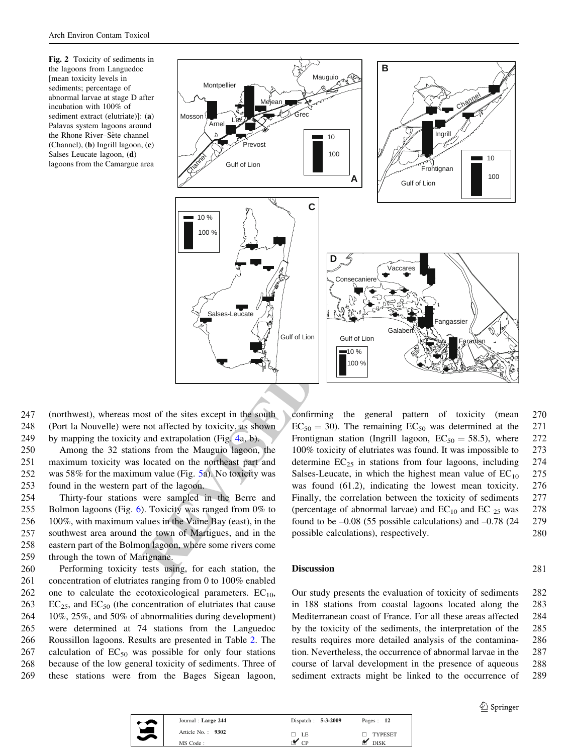<span id="page-5-0"></span>Fig. 2 Toxicity of sediments in the lagoons from Languedoc [mean toxicity levels in sediments; percentage of abnormal larvae at stage D after incubation with 100% of sediment extract (elutriate)]: (a) Palavas system lagoons around the Rhone River-Sète channel (Channel), (b) Ingrill lagoon, (c) Salses Leucate lagoon, (d) lagoons from the Camargue area



247 (northwest), whereas most of the sites except in the south 248 (Port la Nouvelle) were not affected by toxicity, as shown 249 by mapping the toxicity and extrapolation (Fig. 4a, b).

 Among the 32 stations from the Mauguio lagoon, the maximum toxicity was located on the northeast part and was 58% for the maximum value (Fig. 5a). No toxicity was found in the western part of the lagoon.

 Thirty-four stations were sampled in the Berre and Bolmon lagoons (Fig. [6\)](#page-9-0). Toxicity was ranged from 0% to 100%, with maximum values in the Vaine Bay (east), in the southwest area around the town of Martigues, and in the eastern part of the Bolmon lagoon, where some rivers come through the town of Marignane.

 Performing toxicity tests using, for each station, the concentration of elutriates ranging from 0 to 100% enabled 262 one to calculate the ecotoxicological parameters.  $EC_{10}$ ,  $EC_{25}$ , and  $EC_{50}$  (the concentration of elutriates that cause 10%, 25%, and 50% of abnormalities during development) were determined at 74 stations from the Languedoc Roussillon lagoons. Results are presented in Table [2.](#page-10-0) The 267 calculation of  $EC_{50}$  was possible for only four stations because of the low general toxicity of sediments. Three of these stations were from the Bages Sigean lagoon,

confirming the general pattern of toxicity (mean 270  $EC_{50} = 30$ . The remaining  $EC_{50}$  was determined at the 271 Frontignan station (Ingrill lagoon,  $EC_{50} = 58.5$ ), where 272 100% toxicity of elutriates was found. It was impossible to 273 determine  $EC_{25}$  in stations from four lagoons, including 274 Salses-Leucate, in which the highest mean value of  $EC_{10}$  275 was found (61.2), indicating the lowest mean toxicity. 276 Finally, the correlation between the toxicity of sediments 277 (percentage of abnormal larvae) and  $EC_{10}$  and  $EC_{25}$  was 278 found to be  $-0.08$  (55 possible calculations) and  $-0.78$  (24 279 possible calculations), respectively. 280

## Discussion 281

Our study presents the evaluation of toxicity of sediments 282 in 188 stations from coastal lagoons located along the 283 Mediterranean coast of France. For all these areas affected 284 by the toxicity of the sediments, the interpretation of the 285 results requires more detailed analysis of the contamina- 286 tion. Nevertheless, the occurrence of abnormal larvae in the 287 course of larval development in the presence of aqueous 288 sediment extracts might be linked to the occurrence of 289



| Journal: Large 244  | Dispatch: $5-3-2009$ | Pages: 12   |
|---------------------|----------------------|-------------|
| Article No.: $9302$ | $\Box$ LE            | TYPESET     |
| MS Code:            | $\cap$               | <b>DISK</b> |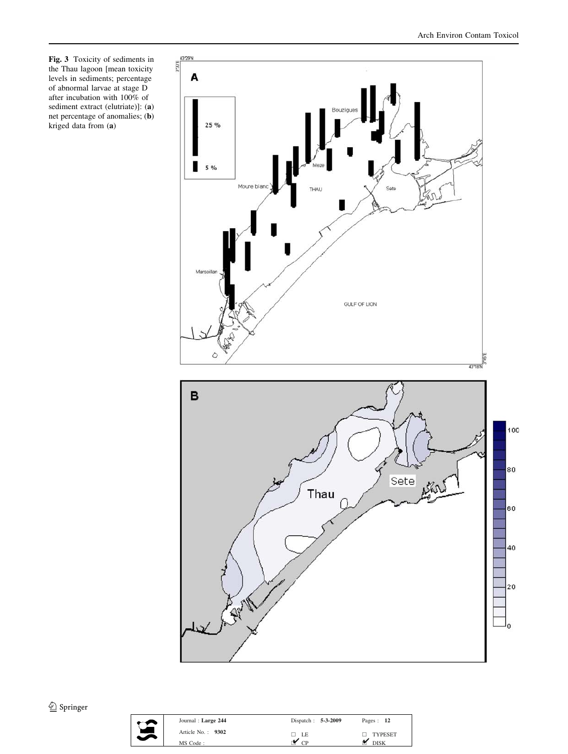<span id="page-6-0"></span>Fig. 3 Toxicity of sediments in the Thau lagoon [mean toxicity levels in sediments; percentage of abnormal larvae at stage D after incubation with 100% of sediment extract (elutriate)]: (a) net percentage of anomalies; (b) kriged data from (a)





| Journal: Large 244 | Dispatch: $5-3-2009$ | Pages: 12         |
|--------------------|----------------------|-------------------|
| Article No.: 9302  | $\Box$ LE            | $\Box$ TYPESET    |
| MS Code:           | CD                   | $\mathbf{M}$ DISK |
|                    |                      |                   |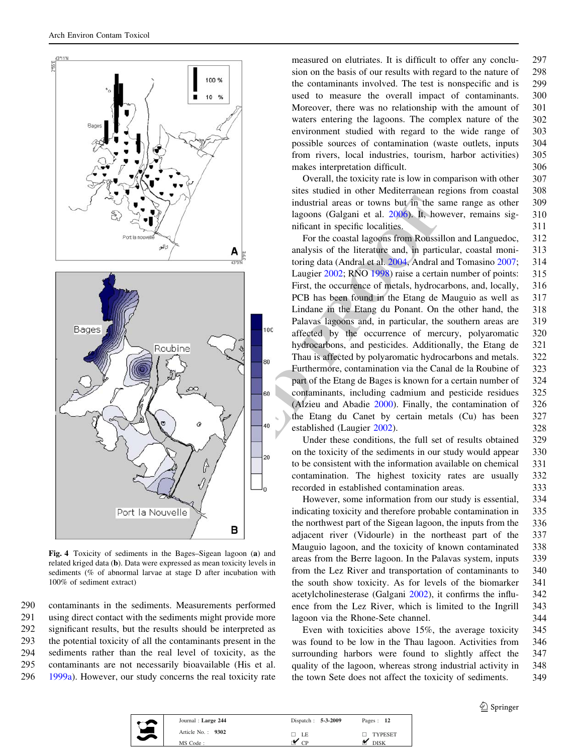<span id="page-7-0"></span>

Fig. 4 Toxicity of sediments in the Bages–Sigean lagoon (a) and related kriged data (b). Data were expressed as mean toxicity levels in sediments (% of abnormal larvae at stage D after incubation with 100% of sediment extract)

 contaminants in the sediments. Measurements performed using direct contact with the sediments might provide more significant results, but the results should be interpreted as the potential toxicity of all the contaminants present in the sediments rather than the real level of toxicity, as the contaminants are not necessarily bioavailable (His et al. [1999a](#page-11-0)). However, our study concerns the real toxicity rate measured on elutriates. It is difficult to offer any conclu- 297 sion on the basis of our results with regard to the nature of 298 the contaminants involved. The test is nonspecific and is 299 used to measure the overall impact of contaminants. 300 Moreover, there was no relationship with the amount of 301 waters entering the lagoons. The complex nature of the 302 environment studied with regard to the wide range of 303 possible sources of contamination (waste outlets, inputs 304 from rivers, local industries, tourism, harbor activities) 305 makes interpretation difficult. 306

Overall, the toxicity rate is low in comparison with other 307 sites studied in other Mediterranean regions from coastal 308 industrial areas or towns but in the same range as other 309 lagoons (Galgani et al. 2006). It, however, remains sig- 310 nificant in specific localities. 311

For the coastal lagoons from Roussillon and Languedoc, 312 analysis of the literature and, in particular, coastal moni- 313 toring data (Andral et al. 2004, Andral and Tomasino [2007](#page-11-0); 314 Laugier 2002; RNO 1998) raise a certain number of points: 315 First, the occurrence of metals, hydrocarbons, and, locally, 316 PCB has been found in the Etang de Mauguio as well as 317 Lindane in the Etang du Ponant. On the other hand, the 318 Palavas lagoons and, in particular, the southern areas are 319 affected by the occurrence of mercury, polyaromatic 320 hydrocarbons, and pesticides. Additionally, the Etang de 321 Thau is affected by polyaromatic hydrocarbons and metals. 322 Furthermore, contamination via the Canal de la Roubine of 323 part of the Etang de Bages is known for a certain number of 324 contaminants, including cadmium and pesticide residues 325 (Alzieu and Abadie [2000](#page-11-0)). Finally, the contamination of 326 the Etang du Canet by certain metals (Cu) has been 327 established (Laugier [2002\)](#page-11-0). 328

Under these conditions, the full set of results obtained 329 on the toxicity of the sediments in our study would appear 330 to be consistent with the information available on chemical 331 contamination. The highest toxicity rates are usually 332 recorded in established contamination areas. 333

However, some information from our study is essential, 334 indicating toxicity and therefore probable contamination in 335 the northwest part of the Sigean lagoon, the inputs from the 336 adjacent river (Vidourle) in the northeast part of the 337 Mauguio lagoon, and the toxicity of known contaminated 338 areas from the Berre lagoon. In the Palavas system, inputs 339 from the Lez River and transportation of contaminants to 340 the south show toxicity. As for levels of the biomarker 341 acetylcholinesterase (Galgani [2002](#page-11-0)), it confirms the influ- 342 ence from the Lez River, which is limited to the Ingrill 343 lagoon via the Rhone-Sete channel. 344

Even with toxicities above 15%, the average toxicity 345 was found to be low in the Thau lagoon. Activities from 346 surrounding harbors were found to slightly affect the 347 quality of the lagoon, whereas strong industrial activity in 348 the town Sete does not affect the toxicity of sediments. 349

| Journal: Large 244  | Dispatch: $5-3-2009$ | Pages: 12      |
|---------------------|----------------------|----------------|
| Article No.: $9302$ | □ LE                 | $\Box$ TYPESET |
| MS Code:            |                      | <b>DISK</b>    |
|                     |                      |                |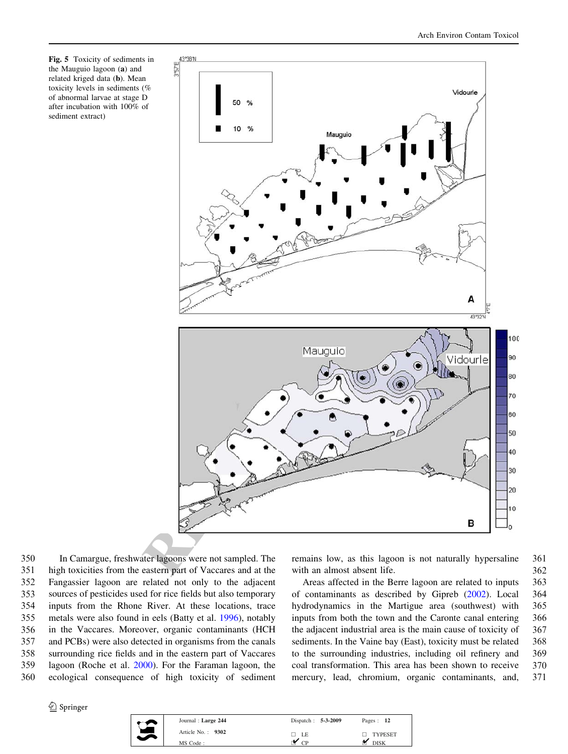<span id="page-8-0"></span>Fig. 5 Toxicity of sediments in the Mauguio lagoon (a) and related kriged data (b). Mean toxicity levels in sediments (% of abnormal larvae at stage D after incubation with 100% of sediment extract)



 In Camargue, freshwater lagoons were not sampled. The high toxicities from the eastern part of Vaccares and at the Fangassier lagoon are related not only to the adjacent sources of pesticides used for rice fields but also temporary inputs from the Rhone River. At these locations, trace metals were also found in eels (Batty et al. [1996](#page-11-0)), notably in the Vaccares. Moreover, organic contaminants (HCH and PCBs) were also detected in organisms from the canals surrounding rice fields and in the eastern part of Vaccares lagoon (Roche et al. [2000](#page-11-0)). For the Faraman lagoon, the ecological consequence of high toxicity of sediment

<sup>2</sup> Springer

| Dispatch: $5-3-2009$ | Pages: 12      |
|----------------------|----------------|
| $\Box$ LE            | <b>TYPESET</b> |
| CD                   | <b>DISK</b>    |
|                      |                |

remains low, as this lagoon is not naturally hypersaline 361 with an almost absent life. 362

Areas affected in the Berre lagoon are related to inputs 363 of contaminants as described by Gipreb ([2002\)](#page-11-0). Local 364 hydrodynamics in the Martigue area (southwest) with 365 inputs from both the town and the Caronte canal entering 366 the adjacent industrial area is the main cause of toxicity of 367 sediments. In the Vaine bay (East), toxicity must be related 368 to the surrounding industries, including oil refinery and 369 coal transformation. This area has been shown to receive 370 mercury, lead, chromium, organic contaminants, and, 371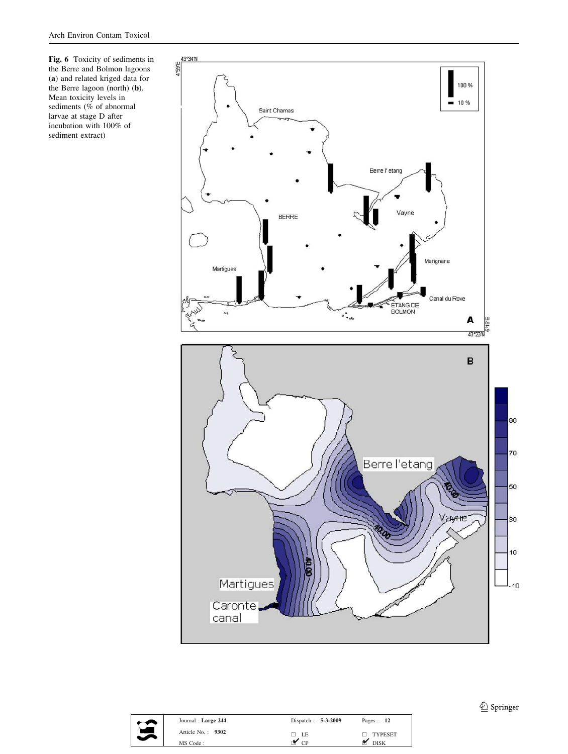<span id="page-9-0"></span>Fig. 6 Toxicity of sediments in the Berre and Bolmon lagoons (a) and related kriged data for the Berre lagoon (north) (b). Mean toxicity levels in sediments (% of abnormal larvae at stage D after incubation with 100% of sediment extract)





| Journal: Large 244 | Dispatch: 5-3-2009 | Pages: 12      |
|--------------------|--------------------|----------------|
| Article No.: 9302  | $\Box$ LE          | $\Box$ TYPESET |
| MS Code:           | $\overline{CP}$    | <b>DISK</b>    |

<sup>2</sup> Springer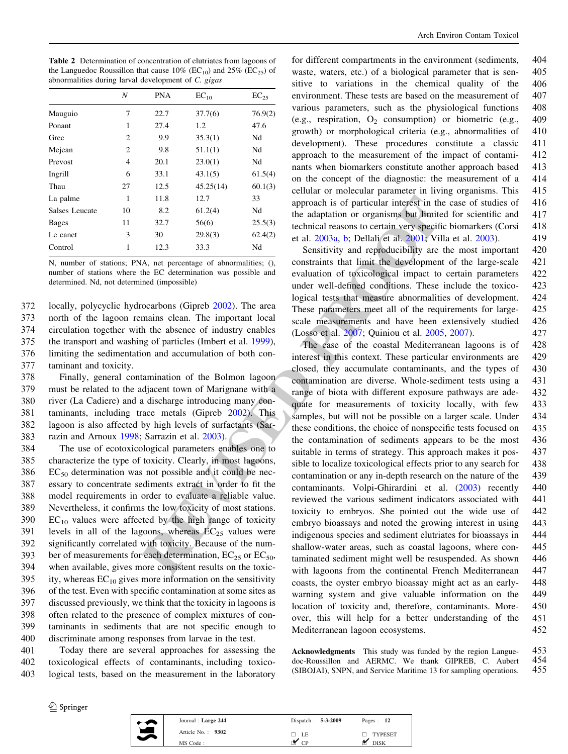<span id="page-10-0"></span>Table 2 Determination of concentration of elutriates from lagoons of the Languedoc Roussillon that cause 10% ( $EC_{10}$ ) and 25% ( $EC_{25}$ ) of abnormalities during larval development of C. gigas

|                | N              | <b>PNA</b> | $EC_{10}$ | $EC_{25}$ |
|----------------|----------------|------------|-----------|-----------|
| Mauguio        | 7              | 22.7       | 37.7(6)   | 76.9(2)   |
| Ponant         | 1              | 27.4       | 1.2       | 47.6      |
| Grec           | 2              | 9.9        | 35.3(1)   | Nd        |
| Mejean         | $\overline{2}$ | 9.8        | 51.1(1)   | Nd        |
| Prevost        | $\overline{4}$ | 20.1       | 23.0(1)   | Nd        |
| Ingrill        | 6              | 33.1       | 43.1(5)   | 61.5(4)   |
| Thau           | 27             | 12.5       | 45.25(14) | 60.1(3)   |
| La palme       | 1              | 11.8       | 12.7      | 33        |
| Salses Leucate | 10             | 8.2        | 61.2(4)   | Nd        |
| <b>Bages</b>   | 11             | 32.7       | 56(6)     | 25.5(3)   |
| Le canet       | 3              | 30         | 29.8(3)   | 62.4(2)   |
| Control        | 1              | 12.3       | 33.3      | Nd        |

N, number of stations; PNA, net percentage of abnormalities; (), number of stations where the EC determination was possible and determined. Nd, not determined (impossible)

 locally, polycyclic hydrocarbons (Gipreb [2002](#page-11-0)). The area north of the lagoon remains clean. The important local circulation together with the absence of industry enables the transport and washing of particles (Imbert et al. [1999](#page-11-0)), limiting the sedimentation and accumulation of both con-taminant and toxicity.

 Finally, general contamination of the Bolmon lagoon must be related to the adjacent town of Marignane with a river (La Cadiere) and a discharge introducing many con- taminants, including trace metals (Gipreb 2002). This lagoon is also affected by high levels of surfactants (Sar-razin and Arnoux [1998;](#page-12-0) Sarrazin et al. 2003).

 The use of ecotoxicological parameters enables one to characterize the type of toxicity. Clearly, in most lagoons, EC<sub>50</sub> determination was not possible and it could be nec- essary to concentrate sediments extract in order to fit the model requirements in order to evaluate a reliable value. Nevertheless, it confirms the low toxicity of most stations.  $EC_{10}$  values were affected by the high range of toxicity<br>391 levels in all of the lagoons, whereas  $EC_{25}$  values were levels in all of the lagoons, whereas  $EC_{25}$  values were significantly correlated with toxicity. Because of the num-393 ber of measurements for each determination,  $EC_{25}$  or  $EC_{50}$ , when available, gives more consistent results on the toxic-395 ity, whereas  $EC_{10}$  gives more information on the sensitivity of the test. Even with specific contamination at some sites as discussed previously, we think that the toxicity in lagoons is often related to the presence of complex mixtures of con- taminants in sediments that are not specific enough to discriminate among responses from larvae in the test.

401 Today there are several approaches for assessing the 402 toxicological effects of contaminants, including toxico-403 logical tests, based on the measurement in the laboratory for different compartments in the environment (sediments, 404 waste, waters, etc.) of a biological parameter that is sen- 405 sitive to variations in the chemical quality of the 406 environment. These tests are based on the measurement of 407 various parameters, such as the physiological functions 408 (e.g., respiration,  $O_2$  consumption) or biometric (e.g., 409) growth) or morphological criteria (e.g., abnormalities of 410 development). These procedures constitute a classic 411 approach to the measurement of the impact of contami- 412 nants when biomarkers constitute another approach based 413 on the concept of the diagnostic: the measurement of a 414 cellular or molecular parameter in living organisms. This 415 approach is of particular interest in the case of studies of 416 the adaptation or organisms but limited for scientific and 417 technical reasons to certain very specific biomarkers (Corsi 418 et al. 2003a, b; Dellali et al. 2001; Villa et al. [2003\)](#page-12-0). 419

Sensitivity and reproducibility are the most important 420 constraints that limit the development of the large-scale 421 evaluation of toxicological impact to certain parameters 422 under well-defined conditions. These include the toxico- 423 logical tests that measure abnormalities of development. 424 These parameters meet all of the requirements for large- 425 scale measurements and have been extensively studied 426 (Losso et al. 2007; Quiniou et al. 2005, [2007\)](#page-11-0). 427

11.8 12.7 33 approach is of particular interest in the absolution of cogalisms but limit is the absolution of cogalisms but limited at 2003.<br>
2.5.43 but the algoritom or equalisms but minit the development of correlation The case of the coastal Mediterranean lagoons is of 428 interest in this context. These particular environments are 429 closed, they accumulate contaminants, and the types of 430 contamination are diverse. Whole-sediment tests using a 431 range of biota with different exposure pathways are ade- 432 quate for measurements of toxicity locally, with few 433 samples, but will not be possible on a larger scale. Under 434 these conditions, the choice of nonspecific tests focused on 435 the contamination of sediments appears to be the most 436 suitable in terms of strategy. This approach makes it pos- 437 sible to localize toxicological effects prior to any search for 438 contamination or any in-depth research on the nature of the 439 contaminants. Volpi-Ghirardini et al. ([2003\)](#page-12-0) recently 440 reviewed the various sediment indicators associated with 441 toxicity to embryos. She pointed out the wide use of 442 embryo bioassays and noted the growing interest in using 443 indigenous species and sediment elutriates for bioassays in 444 shallow-water areas, such as coastal lagoons, where con- 445 taminated sediment might well be resuspended. As shown 446 with lagoons from the continental French Mediterranean 447 coasts, the oyster embryo bioassay might act as an early- 448 warning system and give valuable information on the 449 location of toxicity and, therefore, contaminants. More- 450 over, this will help for a better understanding of the 451 Mediterranean lagoon ecosystems. 452

> Acknowledgments This study was funded by the region Langue-<br>doc-Roussillon and AERMC. We thank GIPREB. C. Aubert 454 doc-Roussillon and AERMC. We thank GIPREB, C. Aubert 454 (SIBOJAI), SNPN, and Service Maritime 13 for sampling operations. 455 (SIBOJAI), SNPN, and Service Maritime 13 for sampling operations.

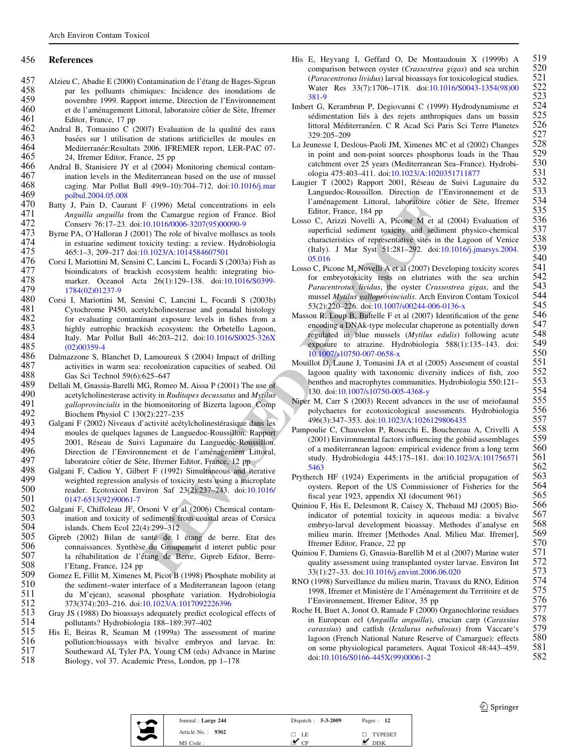## <span id="page-11-0"></span>456 References

- 457 Alzieu C, Abadie E (2000) Contamination de l'étang de Bages-Sigean<br>458 **particular de l'étant de l'étant de l'étance** des inondations de 458 par les polluants chimiques: Incidence des inondations de 459 povembre 1999. Rapport interne. Direction de l'Environnement 459 novembre 1999. Rapport interne, Direction de l'Environnement 460 et de l'aménagement Littoral, laboratoire côtier de Sète, Ifremer<br>461 Editor. France. 17 pp.
- 461 Editor, France, 17 pp<br>462 Andral B. Tomasino C. C 462 Andral B, Tomasino C (2007) Evaluation de la qualité des eaux  $463$  basées sur 1 utilisation de stations artificielles de moules en 463 basées sur 1 utilisation de stations artificielles de moules en 464 Mediterranée:Resultats 2006. IFREMER report. LER-PAC 07-464 Mediterranée:Resultats 2006. IFREMER report, LER-PAC 07-<br>465 24, Ifremer Editor, France, 25 pp 465 24, Ifremer Editor, France, 25 pp<br>466 Andral B. Stanisiere JY et al (2004)
- 466 Andral B, Stanisiere JY et al (2004) Monitoring chemical contam-<br>467 ination levels in the Mediterranean based on the use of mussel 467 ination levels in the Mediterranean based on the use of mussel<br>468 caging. Mar Pollut Bull  $49(9-10):704-712$ , doi: $10.1016/i$ .mar 468 caging. Mar Pollut Bull 49(9–10):704–712. doi:[10.1016/j.mar](http://dx.doi.org/10.1016/j.marpolbul.2004.05.008)<br>469 oolbul 2004 05 008 469 [polbul.2004.05.008](http://dx.doi.org/10.1016/j.marpolbul.2004.05.008)<br>470 Batty J. Pain D. Caur
- 470 Batty J, Pain D, Caurant F (1996) Metal concentrations in eels<br>471 *Anguilla anguilla* from the Camargue region of France. Biol 471 Anguilla anguilla from the Camargue region of France. Biol 472 Conserv 76:17-23. doi:10.1016/0006-3207(95)00090-9 472 Conserv 76:17–23. doi[:10.1016/0006-3207\(95\)00090-9](http://dx.doi.org/10.1016/0006-3207(95)00090-9)<br>473 Byrne PA. O'Halloran J (2001) The role of bivalve molluses
- 473 Byrne PA, O'Halloran J (2001) The role of bivalve molluscs as tools<br>474 in estuarine sediment toxicity testing: a review Hydrobiologia 474 in estuarine sediment toxicity testing: a review. Hydrobiologia<br>475  $465:1-3$ , 209-217 doi:10.1023/A:1014584607501 475 465:1–3, 209–217 doi[:10.1023/A:1014584607501](http://dx.doi.org/10.1023/A:1014584607501)<br>476 Corsi I. Mariottini M. Sensini C. Lancini L. Focardi S (
- 476 Corsi I, Mariottini M, Sensini C, Lancini L, Focardi S (2003a) Fish as<br>477 bioindicators of brackish ecosystem health: integrating bio-477 bioindicators of brackish ecosystem health: integrating bio-<br>478 marker. Oceanol Acta 26(1):129–138. doi:10.1016/S0399-478 marker. Oceanol Acta 26(1):129–138. doi:[10.1016/S0399-](http://dx.doi.org/10.1016/S0399-1784(02)01237-9)<br>479 1784(02)01237-9 479 [1784\(02\)01237-9](http://dx.doi.org/10.1016/S0399-1784(02)01237-9)<br>480 Corsi I. Mariottini M
- F (1996) Metal concentrations in eels<br>
le Caménagement Littoral. laboratoire cô<br>
10.10160006-3207(95)00090-9<br>
10.0006-3207(95)00090-9<br>
10.0006-3207(95)00090-9<br>
10.0006-3207(95)00090-9<br>
10.0006-3207(95)00090-9<br>
10.0006-320 480 Corsi I, Mariottini M, Sensini C, Lancini L, Focardi S (2003b) 481 Cytochrome P450, acetylcholinesterase and gonadal histology<br>482 for evaluating contaminant exposure levels in fishes from a 482 for evaluating contaminant exposure levels in fishes from a<br>483 highly eutrophic brackish ecosystem: the Orbetello Lagoon 483 highly eutrophic brackish ecosystem: the Orbetello Lagoon,<br>484 Italy Mar Pollut Bull 46:203-212 doi:10.1016/S0025-326X 484 Italy. Mar Pollut Bull 46:203–212. doi:[10.1016/S0025-326X](http://dx.doi.org/10.1016/S0025-326X(02)00359-4)<br>485 (02)00359-4  $(02)00359-4$
- 486 Dalmazzone S, Blanchet D, Lamoureux S (2004) Impact of drilling 487 activities in warm sea: recolonization capacities of seabed. Oil 487 activities in warm sea: recolonization capacities of seabed. Oil 488 Gas Sci Technol 59(6):625–647 488 Gas Sci Technol 59(6):625–647<br>489 Dellali M. Gnassia-Barelli MG. Rome
- 489 Dellali M, Gnassia-Barelli MG, Romeo M, Aissa P (2001) The use of 490 acetylcholinesterase activity in *Ruditanes decussatus* and *Mytilus* 490 acetylcholinesterase activity in *Ruditapes decussatus* and *Mytilus*<br>491 *adloprovincialis* in the biomonitoring of Bizerta Jagoon. Comp 491 galloprovincialis in the biomonitoring of Bizerta lagoon. Comp<br>492 Biochem Physiol C 130(2):227–235 492 Biochem Physiol C 130(2):227–235<br>493 Galgani F (2002) Niveaux d'activité acét
- 493 Galgani F (2002) Niveaux d'activité acétylcholinestérasique dans les<br>494 moules de quelques lagunes de Languedoc-Roussillon. Rapport 494 moules de quelques lagunes de Languedoc-Roussillon. Rapport 495 2001, Réseau de Suivi Lagunaire du Languedoc-Roussillon.<br>496 Direction de l'Environnement et de l'aménagement Littoral. 496 Direction de l'Environnement et de l'aménagement Littoral,<br>497 laboratoire côtier de Sète Ifremer Editor France 12 pp. 497 laboratoire côtier de Sète, Ifremer Editor, France, 12 pp<br>498 Galgani F. Cadiou Y. Gilbert F. (1992) Simultaneous and it
- 498 Galgani F, Cadiou Y, Gilbert F (1992) Simultaneous and iterative<br>499 weighted regression analysis of toxicity tests using a microplate weighted regression analysis of toxicity tests using a microplate 500 reader. Ecotoxicol Environ Saf 23(2):237–243. doi:10.1016/<br>501 0147-6513(92)90061-7 501 [0147-6513\(92\)90061-7](http://dx.doi.org/10.1016/0147-6513(92)90061-7)<br>502 Galgani E. Chiffoleau JE. C
- 502 Galgani F, Chiffoleau JF, Orsoni V et al. (2006) Chemical contam-<br>503 ination and toxicity of sediments from coastal areas of Corsica 503 ination and toxicity of sediments from coastal areas of Corsica<br>504 islands Chem Ecol  $22(4)$ :  $299-312$ 504 islands. Chem Ecol 22(4):299–312<br>505 Gipreb (2002) Bilan de santé de l
- 505 Gipreb (2002) Bilan de santé de l étang de berre. Etat des 506 connaissances. Synthèse du Groupement d interet public pour 506 connaissances. Synthèse du Groupement d interet public pour 507 la réhabilitation de l'étang de Berre. Gipreb Editor. Berre-507 la réhabilitation de l'étang de Berre, Gipreb Editor, Berre-<br>508 l'Etang France 124 pp. 508 l'Etang, France, 124 pp<br>509 Gomez E. Fillit M. Ximenes
- 509 Gomez E, Fillit M, Ximenes M, Picot B (1998) Phosphate mobility at 510 the sediment-water interface of a Mediterranean lagoon (etang 510 the sediment–water interface of a Mediterranean lagoon (etang  $511$  du M'ejean) seasonal phosphate variation. Hydrobiologia 511 du M'ejean), seasonal phosphate variation. Hydrobiologia<br>512 373(374):203–216. doi:10.1023/A:1017092226396 512 373(374):203–216. doi[:10.1023/A:1017092226396](http://dx.doi.org/10.1023/A:1017092226396)<br>513 Gray JS (1988) Do bioassays adequately predict ecologi
- 513 Gray JS (1988) Do bioassays adequately predict ecological effects of pollutants? Hydrobiologia 188–189:397–402 514 pollutants? Hydrobiologia 188–189:397–402
- 515 His E, Beiras R, Seaman M (1999a) The assessment of marine<br>516 bollution: bioassays with bivalve embryos and laryae. In: 516 pollution: bioassays with bivalve embryos and larvae. In:<br>517 Southeward AI, Tyler PA, Young CM (eds) Advance in Marine 517 Southeward AI, Tyler PA, Young CM (eds) Advance in Marine<br>518 Biology, vol 37. Academic Press, London, pp 1–178 518 Biology, vol 37. Academic Press, London, pp 1–178
- His E, Heyvang I, Geffard O, De Montaudouin X (1999b) A  $519$  comparison between ovster (*Crassostrea gigas*) and sea urchin  $520$ comparison between oyster (*Crassostrea gigas*) and sea urchin 520<br>(*Paracentrotus lividus*) larval bioassays for toxicological studies. 521 (*Paracentrotus lividus*) larval bioassays for toxicological studies.  $521$ <br>Water Res  $33(7):1706-1718$ . doi:10.1016/S0043-1354(98)00  $522$ Water Res 33(7):1706–1718. doi[:10.1016/S0043-1354\(98\)00](http://dx.doi.org/10.1016/S0043-1354(98)00381-9) 522<br>381-9 523 [381-9](http://dx.doi.org/10.1016/S0043-1354(98)00381-9) 523
- Imbert G, Kerambrun P, Degiovanni C (1999) Hydrodynamisme et 524 sédimentation Iiés à des rejets anthropiques dans un bassin 525<br>littoral Méditerranéen. C R Acad Sci Paris Sci Terre Planetes 526 littoral Méditerranéen. C R Acad Sci Paris Sci Terre Planetes 526<br>329:205-209 527 527<br>289:205–209 sunesse L. Deslous-Paoli JM. Ximenes MC et al (2002) Changes
- La Jeunesse I, Deslous-Paoli JM, Ximenes MC et al (2002) Changes 528<br>in point and non-point sources phosphorus loads in the Thau 529 in point and non-point sources phosphorus loads in the Thau 529<br>catchment over 25 years (Mediterranean Sea–France). Hydrobi- 530 catchment over 25 years (Mediterranean Sea–France). Hydrobi-<br>
530 ologia 475:403–411. doi:10.1023/A:1020351711877 531 ologia 475:403–411. doi[:10.1023/A:1020351711877](http://dx.doi.org/10.1023/A:1020351711877) 531<br>ier T (2002) Rapport 2001. Réseau de Suivi Lagunaire du 532
- Laugier T (2002) Rapport 2001, Réseau de Suivi Lagunaire du 532<br>Languedoc-Roussillon. Direction de l'Environnement et de 533 Languedoc-Roussillon. Direction de l'Environnement et de 533 l'aménagement Littoral, laboratoire côtier de Sète, Ifremer Editor, France, 184 pp 535<br>o C. Arizzi Novelli A, Picone M et al (2004) Evaluation of 536
- Losso C, Arizzi Novelli A, Picone M et al (2004) Evaluation of 536 superficial sediment toxicity and sediment physico-chemical  $537$  characteristics of representative sites in the Lagoon of Venice  $538$ characteristics of representative sites in the Lagoon of Venice 538<br>(Italy) I Mar Syst 51:281–292 doi:10.1016/j imarsys 2004 539 (Italy). J Mar Syst 51:281–292. doi[:10.1016/j.jmarsys.2004.](http://dx.doi.org/10.1016/j.jmarsys.2004.05.016) 539 05.016 540
- Losso C, Picone M, Novelli A et al (2007) Developing toxicity scores 541 for embryotoxicity tests on elutriates with the sea urchin 542 for embryotoxicity tests on elutriates with the sea urchin  $542$ <br>*Paracentrotus lividus*, the ovster *Crassostrea gigas*, and the 543 Paracentrotus lividus, the oyster Crassostrea gigas, and the 543<br>mussel Mytilus galloprovincialis. Arch Environ Contam Toxicol 544 mussel *Mytilus galloprovincialis*. Arch Environ Contam Toxicol 544<br>53(2):220–226. doi:10.1007/s00244-006-0136-x 545 53(2):220–226. doi:[10.1007/s00244-006-0136-x](http://dx.doi.org/10.1007/s00244-006-0136-x) 545<br>SON R LOUD B. Bultelle F et al (2007) Identification of the gene 546
- Masson R, Loup B, Bultelle F et al (2007) Identification of the gene 546<br>encoding a DNAk-type molecular chaperone as potentially down 547 encoding a DNAk-type molecular chaperone as potentially down  $547$ <br>regulated in blue mussels *(Mytilus edulis)* following acute  $548$ regulated in blue mussels (*Mytilus edulis*) following acute 548 exposure to atrazine. Hydrobiologia 588(1):135–143. doi: 549 exposure to atrazine. Hydrobiologia 588(1):135–143. doi: 549<br>10.1007/s10750-007-0658-x 550 10.1007/s10750-007-0658-x 550<br>
illot D. Laune J. Tomasini JA et al (2005) Assesment of coastal 551
- Mouillot D, Laune J, Tomasini JA et al (2005) Assesment of coastal 551 lagoon quality with taxonomic diversity indices of fish, zoo 552 lagoon quality with taxonomic diversity indices of fish, zoo 552<br>benthos and macrophytes communities. Hydrobiologia 550:121– 553 benthos and macrophytes communities. Hydrobiologia 550:121- $553$ <br>130. doi:10.1007/s10750-005-4368-y  $554$ 130. doi[:10.1007/s10750-005-4368-y](http://dx.doi.org/10.1007/s10750-005-4368-y) 554<br>
130. doi:10.1007/s10750-005-4368-y starting the use of meiofaunal 555
- Niper M, Carr S (2003) Recent advances in the use of meiofaunal 555<br>polychaetes for ecotoxicological assessments. Hydrobiologia 556 polychaetes for ecotoxicological assessments. Hydrobiologia  $556$ <br>496(3):347–353. doi:10.1023/A:1026129806435  $557$ 496(3):347–353. doi:[10.1023/A:1026129806435](http://dx.doi.org/10.1023/A:1026129806435) 557<br>
boulie C. Chauvelon P. Rosecchi E. Bouchereau A. Crivelli A 558
- Pampoulie C, Chauvelon P, Rosecchi E, Bouchereau A, Crivelli A 558<br>(2001) Environmental factors influencing the gobiid assemblages 559 (2001) Environmental factors influencing the gobiid assemblages  $559$ <br>of a mediterranean lagoon: empirical evidence from a long term  $560$ of a mediterranean lagoon: empirical evidence from a long term  $560$ <br>study. Hydrobiologia 445:175–181. doi:10.1023/A:101756571  $561$ study. Hydrobiologia 445:175-181. doi:[10.1023/A:101756571](http://dx.doi.org/10.1023/A:1017565715463) 561<br>562 562 [5463](http://dx.doi.org/10.1023/A:1017565715463) 562
- Prytherch HF (1924) Experiments in the artificial propagation of 563 ovsters. Report of the US Commissioner of Fisheries for the 564 oysters. Report of the US Commissioner of Fisheries for the 564 fiscal year 1923, appendix XI (document 961) 565 fiscal year 1923, appendix XI (document 961) 565<br>iou F, His E, Delesmont R, Caisey X, Thebaud MJ (2005) Bio-566
- Quiniou F, His E, Delesmont R, Caisey X, Thebaud MJ (2005) Bio- 566 indicator of potential toxicity in aqueous media: a bivalve 567<br>embryo-larval development bioassay. Methodes d'analyse en 568 embryo-larval development bioassay. Methodes d'analyse en 568 milieu marin. Ifremer [Methodes Anal. Milieu Mar. Ifremer], 569<br>Ifremer Editor. France. 22 pp Ifremer Editor, France, 22 pp<br>iou F. Damiens G. Gnassia-Barellib M et al (2007) Marine water 571
- Quiniou F, Damiens G, Gnassia-Barellib M et al (2007) Marine water 571 quality assessment using transplanted oyster larvae. Environ Int  $572$ <br>33(1):27–33. doi:10.1016/j.envint.2006.06.020  $573$ 33(1):27–33. doi[:10.1016/j.envint.2006.06.020](http://dx.doi.org/10.1016/j.envint.2006.06.020) 573<br>1998) Surveillance du milieu marin. Travaux du RNO. Edition 574
- RNO (1998) Surveillance du milieu marin, Travaux du RNO, Edition 574<br>1998. Ifremer et Ministère de l'Aménagement du Territoire et de 575 1998, Ifremer et Ministère de l'Aménagement du Territoire et de l'Environnement, Ifremer Editor, 35 pp<br>le H, Buet A, Jonot O, Ramade F (2000) Organochlorine residues 577
- Roche H, Buet A, Jonot O, Ramade F (2000) Organochlorine residues 577<br>in European eel (Anguilla anguilla) crucian carp (Carassius 578 in European eel (Anguilla anguilla), crucian carp (Carassius 578<br>carassius) and catfish (Ictalurus nebulosus) from Vaccare's 579 carassius) and catfish (Ictalurus nebulosus) from Vaccare's 579<br>lagoon (French National Nature Reserve of Camargue): effects 580 lagoon (French National Nature Reserve of Camargue): effects 580<br>on some physiological parameters. Aquat Toxicol 48:443-459. 581 on some physiological parameters. Aquat Toxicol  $48:443-459$ . 581 doi:10.1016/S0166-445X(99)00061-2 582 doi[:10.1016/S0166-445X\(99\)00061-2](http://dx.doi.org/10.1016/S0166-445X(99)00061-2)



| Journal: Large 244  | Dispatch: $5-3-2009$ | Pages: 12      |  |
|---------------------|----------------------|----------------|--|
| Article No.: $9302$ | LE                   | <b>TYPESET</b> |  |
| MS Code:            | $\alpha$ n           | disk           |  |